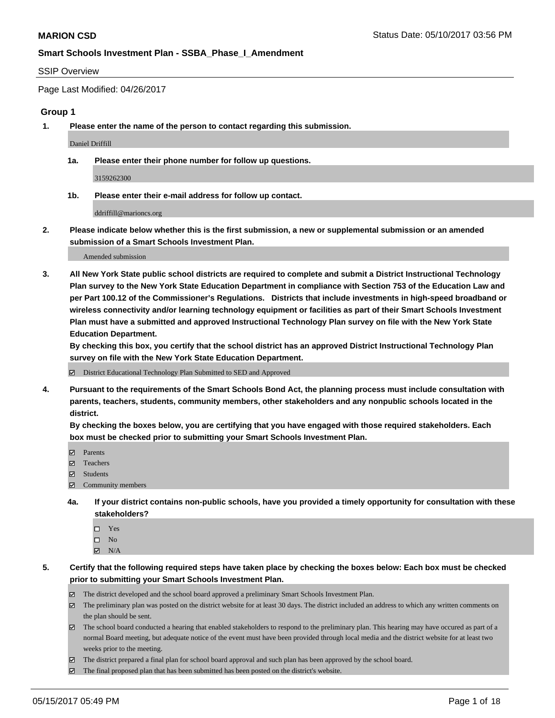#### SSIP Overview

Page Last Modified: 04/26/2017

#### **Group 1**

**1. Please enter the name of the person to contact regarding this submission.**

Daniel Driffill

**1a. Please enter their phone number for follow up questions.**

3159262300

**1b. Please enter their e-mail address for follow up contact.**

ddriffill@marioncs.org

**2. Please indicate below whether this is the first submission, a new or supplemental submission or an amended submission of a Smart Schools Investment Plan.**

Amended submission

**3. All New York State public school districts are required to complete and submit a District Instructional Technology Plan survey to the New York State Education Department in compliance with Section 753 of the Education Law and per Part 100.12 of the Commissioner's Regulations. Districts that include investments in high-speed broadband or wireless connectivity and/or learning technology equipment or facilities as part of their Smart Schools Investment Plan must have a submitted and approved Instructional Technology Plan survey on file with the New York State Education Department.** 

**By checking this box, you certify that the school district has an approved District Instructional Technology Plan survey on file with the New York State Education Department.**

District Educational Technology Plan Submitted to SED and Approved

**4. Pursuant to the requirements of the Smart Schools Bond Act, the planning process must include consultation with parents, teachers, students, community members, other stakeholders and any nonpublic schools located in the district.** 

**By checking the boxes below, you are certifying that you have engaged with those required stakeholders. Each box must be checked prior to submitting your Smart Schools Investment Plan.**

- **マ** Parents
- □ Teachers
- Students
- $\Xi$  Community members
- **4a. If your district contains non-public schools, have you provided a timely opportunity for consultation with these stakeholders?**
	- Yes
	- $\hfill \square$  No
	- $\boxtimes$  N/A
- **5. Certify that the following required steps have taken place by checking the boxes below: Each box must be checked prior to submitting your Smart Schools Investment Plan.**
	- The district developed and the school board approved a preliminary Smart Schools Investment Plan.
	- $\boxtimes$  The preliminary plan was posted on the district website for at least 30 days. The district included an address to which any written comments on the plan should be sent.
	- $\boxtimes$  The school board conducted a hearing that enabled stakeholders to respond to the preliminary plan. This hearing may have occured as part of a normal Board meeting, but adequate notice of the event must have been provided through local media and the district website for at least two weeks prior to the meeting.
	- The district prepared a final plan for school board approval and such plan has been approved by the school board.
	- $\boxtimes$  The final proposed plan that has been submitted has been posted on the district's website.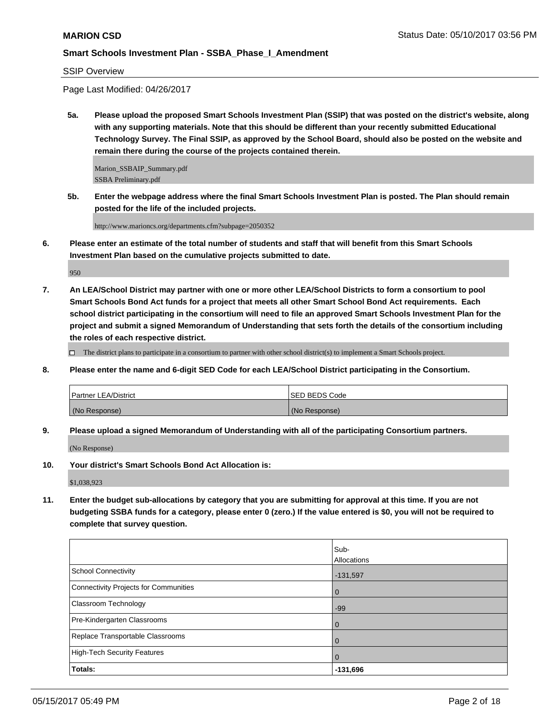SSIP Overview

Page Last Modified: 04/26/2017

**5a. Please upload the proposed Smart Schools Investment Plan (SSIP) that was posted on the district's website, along with any supporting materials. Note that this should be different than your recently submitted Educational Technology Survey. The Final SSIP, as approved by the School Board, should also be posted on the website and remain there during the course of the projects contained therein.**

Marion\_SSBAIP\_Summary.pdf SSBA Preliminary.pdf

**5b. Enter the webpage address where the final Smart Schools Investment Plan is posted. The Plan should remain posted for the life of the included projects.**

http://www.marioncs.org/departments.cfm?subpage=2050352

**6. Please enter an estimate of the total number of students and staff that will benefit from this Smart Schools Investment Plan based on the cumulative projects submitted to date.**

950

**7. An LEA/School District may partner with one or more other LEA/School Districts to form a consortium to pool Smart Schools Bond Act funds for a project that meets all other Smart School Bond Act requirements. Each school district participating in the consortium will need to file an approved Smart Schools Investment Plan for the project and submit a signed Memorandum of Understanding that sets forth the details of the consortium including the roles of each respective district.**

 $\Box$  The district plans to participate in a consortium to partner with other school district(s) to implement a Smart Schools project.

**8. Please enter the name and 6-digit SED Code for each LEA/School District participating in the Consortium.**

| <b>Partner LEA/District</b> | <b>ISED BEDS Code</b> |
|-----------------------------|-----------------------|
| (No Response)               | (No Response)         |

**9. Please upload a signed Memorandum of Understanding with all of the participating Consortium partners.**

(No Response)

**10. Your district's Smart Schools Bond Act Allocation is:**

\$1,038,923

**11. Enter the budget sub-allocations by category that you are submitting for approval at this time. If you are not budgeting SSBA funds for a category, please enter 0 (zero.) If the value entered is \$0, you will not be required to complete that survey question.**

|                                       | Sub-           |
|---------------------------------------|----------------|
|                                       | Allocations    |
| School Connectivity                   | $-131,597$     |
| Connectivity Projects for Communities | l O            |
| <b>Classroom Technology</b>           | $-99$          |
| Pre-Kindergarten Classrooms           | l O            |
| Replace Transportable Classrooms      | $\Omega$       |
| High-Tech Security Features           | $\overline{0}$ |
| Totals:                               | $-131,696$     |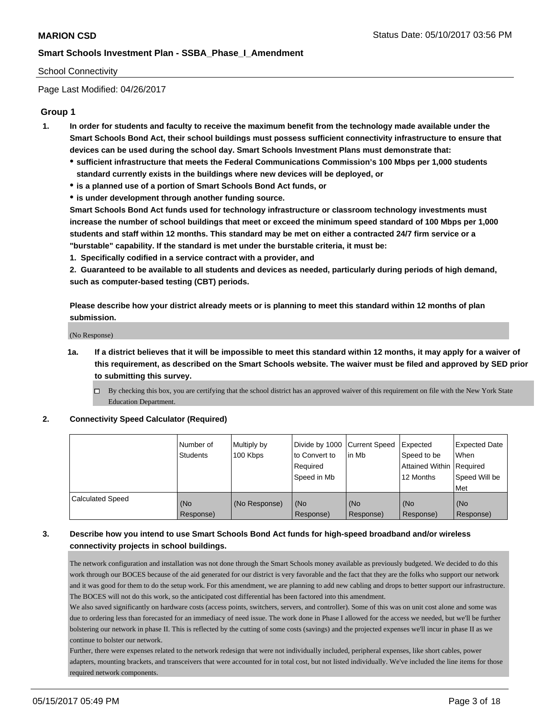#### School Connectivity

Page Last Modified: 04/26/2017

### **Group 1**

- **1. In order for students and faculty to receive the maximum benefit from the technology made available under the Smart Schools Bond Act, their school buildings must possess sufficient connectivity infrastructure to ensure that devices can be used during the school day. Smart Schools Investment Plans must demonstrate that:**
	- **sufficient infrastructure that meets the Federal Communications Commission's 100 Mbps per 1,000 students standard currently exists in the buildings where new devices will be deployed, or**
	- **is a planned use of a portion of Smart Schools Bond Act funds, or**
	- **is under development through another funding source.**

**Smart Schools Bond Act funds used for technology infrastructure or classroom technology investments must increase the number of school buildings that meet or exceed the minimum speed standard of 100 Mbps per 1,000 students and staff within 12 months. This standard may be met on either a contracted 24/7 firm service or a "burstable" capability. If the standard is met under the burstable criteria, it must be:**

**1. Specifically codified in a service contract with a provider, and**

**2. Guaranteed to be available to all students and devices as needed, particularly during periods of high demand, such as computer-based testing (CBT) periods.**

**Please describe how your district already meets or is planning to meet this standard within 12 months of plan submission.**

(No Response)

- **1a. If a district believes that it will be impossible to meet this standard within 12 months, it may apply for a waiver of this requirement, as described on the Smart Schools website. The waiver must be filed and approved by SED prior to submitting this survey.**
	- By checking this box, you are certifying that the school district has an approved waiver of this requirement on file with the New York State Education Department.

#### **2. Connectivity Speed Calculator (Required)**

|                  | Number of<br>Students | Multiply by<br>100 Kbps | Divide by 1000 Current Speed<br>to Convert to<br>Reauired<br>Speed in Mb | in Mb            | Expected<br>Speed to be<br>Attained Within   Required<br>12 Months | <b>Expected Date</b><br>When<br>Speed Will be<br>Met |
|------------------|-----------------------|-------------------------|--------------------------------------------------------------------------|------------------|--------------------------------------------------------------------|------------------------------------------------------|
| Calculated Speed | (No<br>Response)      | (No Response)           | (No<br>Response)                                                         | (No<br>Response) | (No<br>Response)                                                   | (No<br>Response)                                     |

### **3. Describe how you intend to use Smart Schools Bond Act funds for high-speed broadband and/or wireless connectivity projects in school buildings.**

The network configuration and installation was not done through the Smart Schools money available as previously budgeted. We decided to do this work through our BOCES because of the aid generated for our district is very favorable and the fact that they are the folks who support our network and it was good for them to do the setup work. For this amendment, we are planning to add new cabling and drops to better support our infrastructure. The BOCES will not do this work, so the anticipated cost differential has been factored into this amendment.

We also saved significantly on hardware costs (access points, switchers, servers, and controller). Some of this was on unit cost alone and some was due to ordering less than forecasted for an immediacy of need issue. The work done in Phase I allowed for the access we needed, but we'll be further bolstering our network in phase II. This is reflected by the cutting of some costs (savings) and the projected expenses we'll incur in phase II as we continue to bolster our network.

Further, there were expenses related to the network redesign that were not individually included, peripheral expenses, like short cables, power adapters, mounting brackets, and transceivers that were accounted for in total cost, but not listed individually. We've included the line items for those required network components.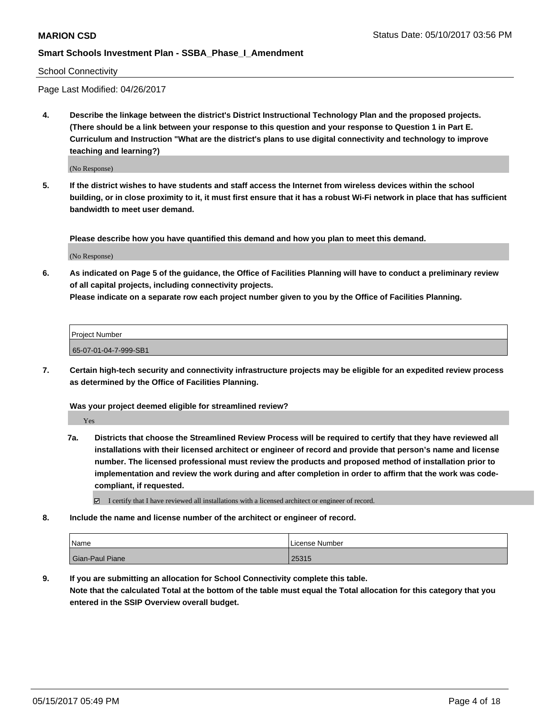School Connectivity

Page Last Modified: 04/26/2017

**4. Describe the linkage between the district's District Instructional Technology Plan and the proposed projects. (There should be a link between your response to this question and your response to Question 1 in Part E. Curriculum and Instruction "What are the district's plans to use digital connectivity and technology to improve teaching and learning?)**

(No Response)

**5. If the district wishes to have students and staff access the Internet from wireless devices within the school building, or in close proximity to it, it must first ensure that it has a robust Wi-Fi network in place that has sufficient bandwidth to meet user demand.**

**Please describe how you have quantified this demand and how you plan to meet this demand.**

(No Response)

**6. As indicated on Page 5 of the guidance, the Office of Facilities Planning will have to conduct a preliminary review of all capital projects, including connectivity projects.**

**Please indicate on a separate row each project number given to you by the Office of Facilities Planning.**

| <b>Project Number</b> |  |
|-----------------------|--|
| 65-07-01-04-7-999-SB1 |  |

**7. Certain high-tech security and connectivity infrastructure projects may be eligible for an expedited review process as determined by the Office of Facilities Planning.**

**Was your project deemed eligible for streamlined review?**

Yes

**7a. Districts that choose the Streamlined Review Process will be required to certify that they have reviewed all installations with their licensed architect or engineer of record and provide that person's name and license number. The licensed professional must review the products and proposed method of installation prior to implementation and review the work during and after completion in order to affirm that the work was codecompliant, if requested.**

 $\boxtimes$  I certify that I have reviewed all installations with a licensed architect or engineer of record.

**8. Include the name and license number of the architect or engineer of record.**

| Name                   | License Number |
|------------------------|----------------|
| <b>Gian-Paul Piane</b> | 25315          |

**9. If you are submitting an allocation for School Connectivity complete this table. Note that the calculated Total at the bottom of the table must equal the Total allocation for this category that you entered in the SSIP Overview overall budget.**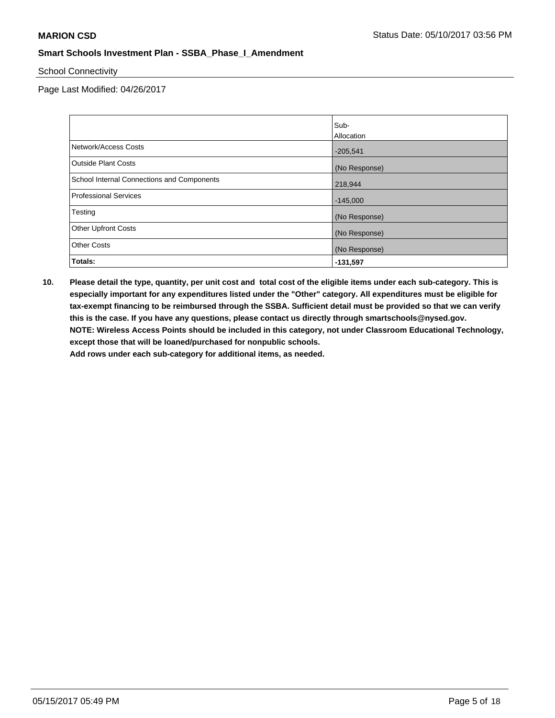School Connectivity

Page Last Modified: 04/26/2017

|                                            | Sub-          |
|--------------------------------------------|---------------|
|                                            | Allocation    |
| Network/Access Costs                       | $-205,541$    |
| <b>Outside Plant Costs</b>                 | (No Response) |
| School Internal Connections and Components | 218,944       |
| <b>Professional Services</b>               | $-145,000$    |
| Testing                                    | (No Response) |
| <b>Other Upfront Costs</b>                 | (No Response) |
| <b>Other Costs</b>                         | (No Response) |
| Totals:                                    | $-131,597$    |

**10. Please detail the type, quantity, per unit cost and total cost of the eligible items under each sub-category. This is especially important for any expenditures listed under the "Other" category. All expenditures must be eligible for tax-exempt financing to be reimbursed through the SSBA. Sufficient detail must be provided so that we can verify this is the case. If you have any questions, please contact us directly through smartschools@nysed.gov. NOTE: Wireless Access Points should be included in this category, not under Classroom Educational Technology, except those that will be loaned/purchased for nonpublic schools.**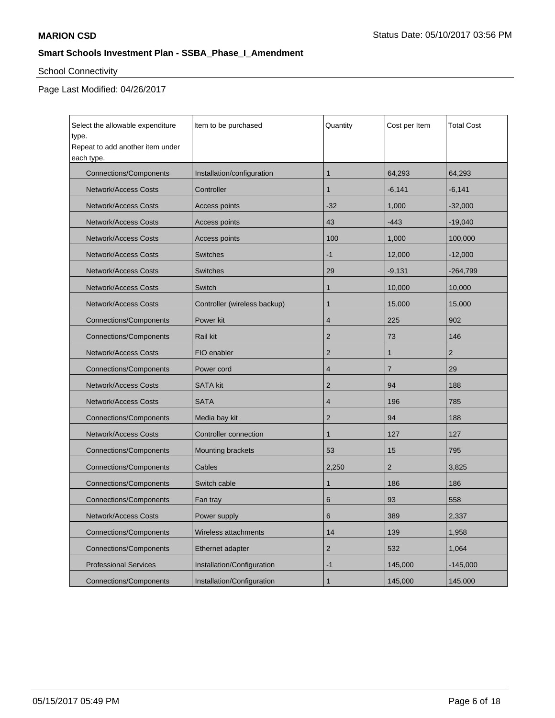# School Connectivity

Page Last Modified: 04/26/2017

| Select the allowable expenditure<br>type.<br>Repeat to add another item under<br>each type. | Item to be purchased         | Quantity       | Cost per Item  | <b>Total Cost</b> |
|---------------------------------------------------------------------------------------------|------------------------------|----------------|----------------|-------------------|
| <b>Connections/Components</b>                                                               | Installation/configuration   | $\mathbf{1}$   | 64,293         | 64,293            |
| <b>Network/Access Costs</b>                                                                 | Controller                   | $\mathbf{1}$   | $-6,141$       | $-6,141$          |
| <b>Network/Access Costs</b>                                                                 | <b>Access points</b>         | $-32$          | 1,000          | $-32,000$         |
| <b>Network/Access Costs</b>                                                                 | <b>Access points</b>         | 43             | $-443$         | $-19,040$         |
| <b>Network/Access Costs</b>                                                                 | Access points                | 100            | 1,000          | 100,000           |
| <b>Network/Access Costs</b>                                                                 | <b>Switches</b>              | $-1$           | 12,000         | $-12,000$         |
| <b>Network/Access Costs</b>                                                                 | <b>Switches</b>              | 29             | $-9,131$       | $-264,799$        |
| <b>Network/Access Costs</b>                                                                 | Switch                       | $\mathbf{1}$   | 10,000         | 10,000            |
| <b>Network/Access Costs</b>                                                                 | Controller (wireless backup) | $\mathbf 1$    | 15,000         | 15,000            |
| <b>Connections/Components</b>                                                               | Power kit                    | $\overline{4}$ | 225            | 902               |
| <b>Connections/Components</b>                                                               | <b>Rail kit</b>              | $\overline{2}$ | 73             | 146               |
| <b>Network/Access Costs</b>                                                                 | FIO enabler                  | $\overline{2}$ | 1              | $\overline{2}$    |
| <b>Connections/Components</b>                                                               | Power cord                   | 4              | $\overline{7}$ | 29                |
| <b>Network/Access Costs</b>                                                                 | <b>SATA kit</b>              | 2              | 94             | 188               |
| <b>Network/Access Costs</b>                                                                 | <b>SATA</b>                  | $\overline{4}$ | 196            | 785               |
| <b>Connections/Components</b>                                                               | Media bay kit                | $\overline{2}$ | 94             | 188               |
| <b>Network/Access Costs</b>                                                                 | Controller connection        | 1              | 127            | 127               |
| <b>Connections/Components</b>                                                               | <b>Mounting brackets</b>     | 53             | 15             | 795               |
| <b>Connections/Components</b>                                                               | Cables                       | 2.250          | $\overline{2}$ | 3,825             |
| <b>Connections/Components</b>                                                               | Switch cable                 | 1              | 186            | 186               |
| <b>Connections/Components</b>                                                               | Fan tray                     | 6              | 93             | 558               |
| <b>Network/Access Costs</b>                                                                 | Power supply                 | 6              | 389            | 2,337             |
| <b>Connections/Components</b>                                                               | Wireless attachments         | 14             | 139            | 1,958             |
| <b>Connections/Components</b>                                                               | Ethernet adapter             | $\overline{2}$ | 532            | 1,064             |
| <b>Professional Services</b>                                                                | Installation/Configuration   | -1             | 145,000        | $-145,000$        |
| <b>Connections/Components</b>                                                               | Installation/Configuration   | $\mathbf{1}$   | 145,000        | 145,000           |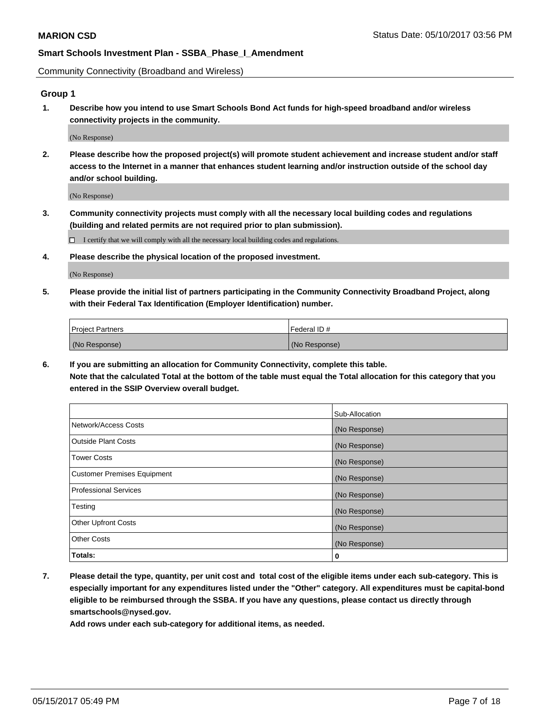Community Connectivity (Broadband and Wireless)

#### **Group 1**

**1. Describe how you intend to use Smart Schools Bond Act funds for high-speed broadband and/or wireless connectivity projects in the community.**

(No Response)

**2. Please describe how the proposed project(s) will promote student achievement and increase student and/or staff access to the Internet in a manner that enhances student learning and/or instruction outside of the school day and/or school building.**

(No Response)

**3. Community connectivity projects must comply with all the necessary local building codes and regulations (building and related permits are not required prior to plan submission).**

 $\Box$  I certify that we will comply with all the necessary local building codes and regulations.

**4. Please describe the physical location of the proposed investment.**

(No Response)

**5. Please provide the initial list of partners participating in the Community Connectivity Broadband Project, along with their Federal Tax Identification (Employer Identification) number.**

| <b>Project Partners</b> | Federal ID#   |
|-------------------------|---------------|
| (No Response)           | (No Response) |

**6. If you are submitting an allocation for Community Connectivity, complete this table. Note that the calculated Total at the bottom of the table must equal the Total allocation for this category that you entered in the SSIP Overview overall budget.**

|                                    | Sub-Allocation |
|------------------------------------|----------------|
| Network/Access Costs               | (No Response)  |
| Outside Plant Costs                | (No Response)  |
| <b>Tower Costs</b>                 | (No Response)  |
| <b>Customer Premises Equipment</b> | (No Response)  |
| Professional Services              | (No Response)  |
| Testing                            | (No Response)  |
| <b>Other Upfront Costs</b>         | (No Response)  |
| <b>Other Costs</b>                 | (No Response)  |
| Totals:                            | 0              |

**7. Please detail the type, quantity, per unit cost and total cost of the eligible items under each sub-category. This is especially important for any expenditures listed under the "Other" category. All expenditures must be capital-bond eligible to be reimbursed through the SSBA. If you have any questions, please contact us directly through smartschools@nysed.gov.**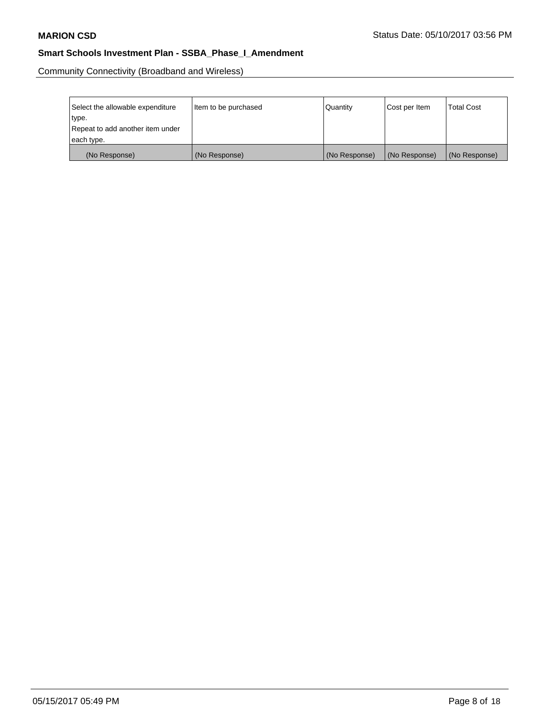Community Connectivity (Broadband and Wireless)

| Select the allowable expenditure | Item to be purchased | Quantity      | Cost per Item | <b>Total Cost</b> |
|----------------------------------|----------------------|---------------|---------------|-------------------|
| type.                            |                      |               |               |                   |
| Repeat to add another item under |                      |               |               |                   |
| each type.                       |                      |               |               |                   |
| (No Response)                    | (No Response)        | (No Response) | (No Response) | (No Response)     |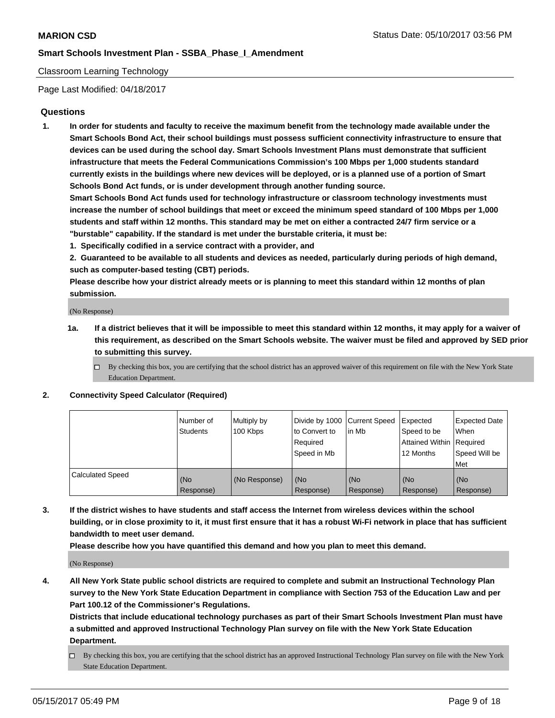#### Classroom Learning Technology

Page Last Modified: 04/18/2017

### **Questions**

**1. In order for students and faculty to receive the maximum benefit from the technology made available under the Smart Schools Bond Act, their school buildings must possess sufficient connectivity infrastructure to ensure that devices can be used during the school day. Smart Schools Investment Plans must demonstrate that sufficient infrastructure that meets the Federal Communications Commission's 100 Mbps per 1,000 students standard currently exists in the buildings where new devices will be deployed, or is a planned use of a portion of Smart Schools Bond Act funds, or is under development through another funding source.**

**Smart Schools Bond Act funds used for technology infrastructure or classroom technology investments must increase the number of school buildings that meet or exceed the minimum speed standard of 100 Mbps per 1,000 students and staff within 12 months. This standard may be met on either a contracted 24/7 firm service or a "burstable" capability. If the standard is met under the burstable criteria, it must be:**

- **1. Specifically codified in a service contract with a provider, and**
- **2. Guaranteed to be available to all students and devices as needed, particularly during periods of high demand, such as computer-based testing (CBT) periods.**

**Please describe how your district already meets or is planning to meet this standard within 12 months of plan submission.**

(No Response)

- **1a. If a district believes that it will be impossible to meet this standard within 12 months, it may apply for a waiver of this requirement, as described on the Smart Schools website. The waiver must be filed and approved by SED prior to submitting this survey.**
	- $\Box$  By checking this box, you are certifying that the school district has an approved waiver of this requirement on file with the New York State Education Department.

#### **2. Connectivity Speed Calculator (Required)**

|                         | l Number of<br>Students | Multiply by<br>100 Kbps | Divide by 1000   Current Speed<br>to Convert to<br>Required<br>Speed in Mb | lin Mb           | Expected<br>Speed to be<br>Attained Within Required<br>12 Months | <b>Expected Date</b><br>When<br>Speed Will be<br>Met |
|-------------------------|-------------------------|-------------------------|----------------------------------------------------------------------------|------------------|------------------------------------------------------------------|------------------------------------------------------|
| <b>Calculated Speed</b> | (No<br>Response)        | (No Response)           | (No<br>Response)                                                           | (No<br>Response) | (No<br>Response)                                                 | (No<br>Response)                                     |

**3. If the district wishes to have students and staff access the Internet from wireless devices within the school building, or in close proximity to it, it must first ensure that it has a robust Wi-Fi network in place that has sufficient bandwidth to meet user demand.**

**Please describe how you have quantified this demand and how you plan to meet this demand.**

(No Response)

**4. All New York State public school districts are required to complete and submit an Instructional Technology Plan survey to the New York State Education Department in compliance with Section 753 of the Education Law and per Part 100.12 of the Commissioner's Regulations.**

**Districts that include educational technology purchases as part of their Smart Schools Investment Plan must have a submitted and approved Instructional Technology Plan survey on file with the New York State Education Department.**

 $\Box$  By checking this box, you are certifying that the school district has an approved Instructional Technology Plan survey on file with the New York State Education Department.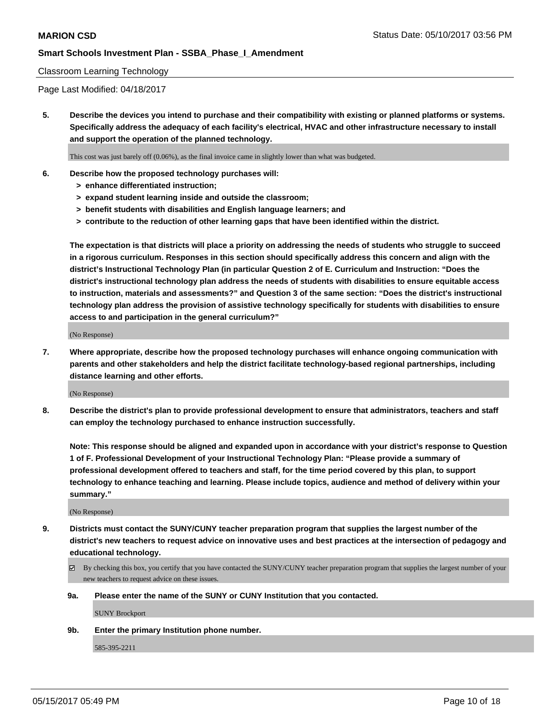#### Classroom Learning Technology

Page Last Modified: 04/18/2017

**5. Describe the devices you intend to purchase and their compatibility with existing or planned platforms or systems. Specifically address the adequacy of each facility's electrical, HVAC and other infrastructure necessary to install and support the operation of the planned technology.**

This cost was just barely off (0.06%), as the final invoice came in slightly lower than what was budgeted.

- **6. Describe how the proposed technology purchases will:**
	- **> enhance differentiated instruction;**
	- **> expand student learning inside and outside the classroom;**
	- **> benefit students with disabilities and English language learners; and**
	- **> contribute to the reduction of other learning gaps that have been identified within the district.**

**The expectation is that districts will place a priority on addressing the needs of students who struggle to succeed in a rigorous curriculum. Responses in this section should specifically address this concern and align with the district's Instructional Technology Plan (in particular Question 2 of E. Curriculum and Instruction: "Does the district's instructional technology plan address the needs of students with disabilities to ensure equitable access to instruction, materials and assessments?" and Question 3 of the same section: "Does the district's instructional technology plan address the provision of assistive technology specifically for students with disabilities to ensure access to and participation in the general curriculum?"**

(No Response)

**7. Where appropriate, describe how the proposed technology purchases will enhance ongoing communication with parents and other stakeholders and help the district facilitate technology-based regional partnerships, including distance learning and other efforts.**

(No Response)

**8. Describe the district's plan to provide professional development to ensure that administrators, teachers and staff can employ the technology purchased to enhance instruction successfully.**

**Note: This response should be aligned and expanded upon in accordance with your district's response to Question 1 of F. Professional Development of your Instructional Technology Plan: "Please provide a summary of professional development offered to teachers and staff, for the time period covered by this plan, to support technology to enhance teaching and learning. Please include topics, audience and method of delivery within your summary."**

(No Response)

- **9. Districts must contact the SUNY/CUNY teacher preparation program that supplies the largest number of the district's new teachers to request advice on innovative uses and best practices at the intersection of pedagogy and educational technology.**
	- By checking this box, you certify that you have contacted the SUNY/CUNY teacher preparation program that supplies the largest number of your new teachers to request advice on these issues.
	- **9a. Please enter the name of the SUNY or CUNY Institution that you contacted.**

SUNY Brockport

**9b. Enter the primary Institution phone number.**

585-395-2211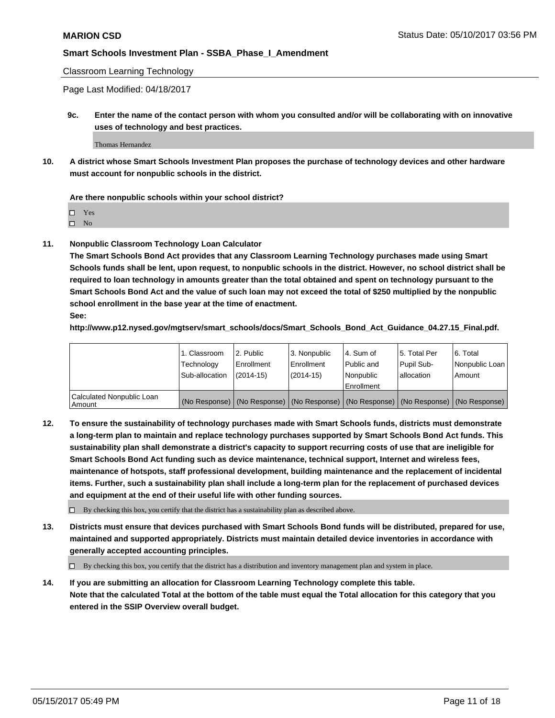Classroom Learning Technology

Page Last Modified: 04/18/2017

**9c. Enter the name of the contact person with whom you consulted and/or will be collaborating with on innovative uses of technology and best practices.**

Thomas Hernandez

**10. A district whose Smart Schools Investment Plan proposes the purchase of technology devices and other hardware must account for nonpublic schools in the district.**

**Are there nonpublic schools within your school district?**

Yes

 $\square$  No

**11. Nonpublic Classroom Technology Loan Calculator**

**The Smart Schools Bond Act provides that any Classroom Learning Technology purchases made using Smart Schools funds shall be lent, upon request, to nonpublic schools in the district. However, no school district shall be required to loan technology in amounts greater than the total obtained and spent on technology pursuant to the Smart Schools Bond Act and the value of such loan may not exceed the total of \$250 multiplied by the nonpublic school enrollment in the base year at the time of enactment.**

**See:**

**http://www.p12.nysed.gov/mgtserv/smart\_schools/docs/Smart\_Schools\_Bond\_Act\_Guidance\_04.27.15\_Final.pdf.**

|                                       | 1. Classroom   | l 2. Public   | 3. Nonpublic | l 4. Sum of | 15. Total Per                                                                                 | 6. Total       |
|---------------------------------------|----------------|---------------|--------------|-------------|-----------------------------------------------------------------------------------------------|----------------|
|                                       | Technology     | Enrollment    | Enrollment   | Public and  | Pupil Sub-                                                                                    | Nonpublic Loan |
|                                       | Sub-allocation | $(2014 - 15)$ | $(2014-15)$  | l Nonpublic | allocation                                                                                    | Amount         |
|                                       |                |               |              | Enrollment  |                                                                                               |                |
| Calculated Nonpublic Loan<br>  Amount |                |               |              |             | (No Response)   (No Response)   (No Response)   (No Response)   (No Response)   (No Response) |                |

**12. To ensure the sustainability of technology purchases made with Smart Schools funds, districts must demonstrate a long-term plan to maintain and replace technology purchases supported by Smart Schools Bond Act funds. This sustainability plan shall demonstrate a district's capacity to support recurring costs of use that are ineligible for Smart Schools Bond Act funding such as device maintenance, technical support, Internet and wireless fees, maintenance of hotspots, staff professional development, building maintenance and the replacement of incidental items. Further, such a sustainability plan shall include a long-term plan for the replacement of purchased devices and equipment at the end of their useful life with other funding sources.**

 $\Box$  By checking this box, you certify that the district has a sustainability plan as described above.

**13. Districts must ensure that devices purchased with Smart Schools Bond funds will be distributed, prepared for use, maintained and supported appropriately. Districts must maintain detailed device inventories in accordance with generally accepted accounting principles.**

By checking this box, you certify that the district has a distribution and inventory management plan and system in place.

**14. If you are submitting an allocation for Classroom Learning Technology complete this table. Note that the calculated Total at the bottom of the table must equal the Total allocation for this category that you entered in the SSIP Overview overall budget.**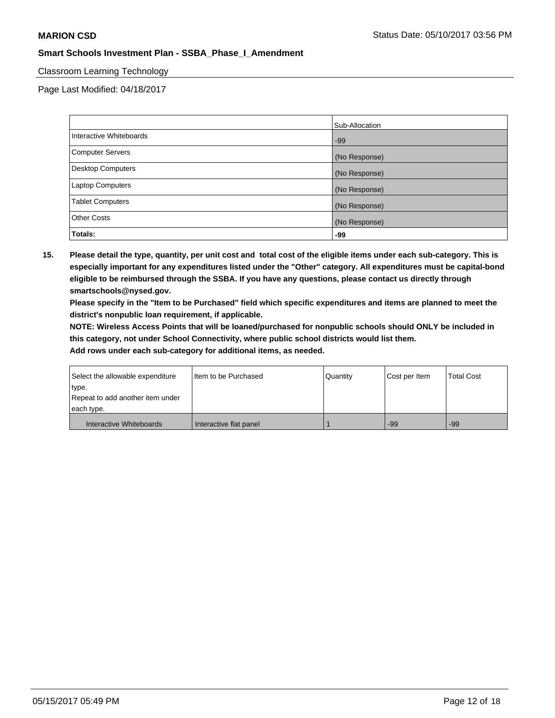### Classroom Learning Technology

Page Last Modified: 04/18/2017

|                          | Sub-Allocation |
|--------------------------|----------------|
| Interactive Whiteboards  | -99            |
| Computer Servers         | (No Response)  |
| <b>Desktop Computers</b> | (No Response)  |
| Laptop Computers         | (No Response)  |
| <b>Tablet Computers</b>  | (No Response)  |
| <b>Other Costs</b>       | (No Response)  |
| Totals:                  | -99            |

**15. Please detail the type, quantity, per unit cost and total cost of the eligible items under each sub-category. This is especially important for any expenditures listed under the "Other" category. All expenditures must be capital-bond eligible to be reimbursed through the SSBA. If you have any questions, please contact us directly through smartschools@nysed.gov.**

**Please specify in the "Item to be Purchased" field which specific expenditures and items are planned to meet the district's nonpublic loan requirement, if applicable.**

**NOTE: Wireless Access Points that will be loaned/purchased for nonpublic schools should ONLY be included in this category, not under School Connectivity, where public school districts would list them.**

| Select the allowable expenditure | Iltem to be Purchased  | Quantity | Cost per Item | <b>Total Cost</b> |
|----------------------------------|------------------------|----------|---------------|-------------------|
| 'type.                           |                        |          |               |                   |
| Repeat to add another item under |                        |          |               |                   |
| each type.                       |                        |          |               |                   |
| Interactive Whiteboards          | Interactive flat panel |          | $-99$         | $-99$             |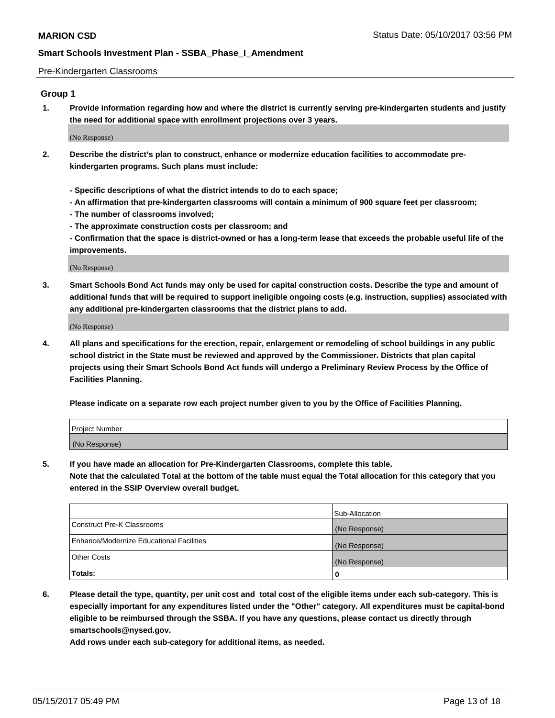Pre-Kindergarten Classrooms

#### **Group 1**

**1. Provide information regarding how and where the district is currently serving pre-kindergarten students and justify the need for additional space with enrollment projections over 3 years.**

(No Response)

- **2. Describe the district's plan to construct, enhance or modernize education facilities to accommodate prekindergarten programs. Such plans must include:**
	- **Specific descriptions of what the district intends to do to each space;**
	- **An affirmation that pre-kindergarten classrooms will contain a minimum of 900 square feet per classroom;**
	- **The number of classrooms involved;**
	- **The approximate construction costs per classroom; and**

**- Confirmation that the space is district-owned or has a long-term lease that exceeds the probable useful life of the improvements.**

(No Response)

**3. Smart Schools Bond Act funds may only be used for capital construction costs. Describe the type and amount of additional funds that will be required to support ineligible ongoing costs (e.g. instruction, supplies) associated with any additional pre-kindergarten classrooms that the district plans to add.**

(No Response)

**4. All plans and specifications for the erection, repair, enlargement or remodeling of school buildings in any public school district in the State must be reviewed and approved by the Commissioner. Districts that plan capital projects using their Smart Schools Bond Act funds will undergo a Preliminary Review Process by the Office of Facilities Planning.**

**Please indicate on a separate row each project number given to you by the Office of Facilities Planning.**

| Project Number |  |
|----------------|--|
| (No Response)  |  |

**5. If you have made an allocation for Pre-Kindergarten Classrooms, complete this table.**

**Note that the calculated Total at the bottom of the table must equal the Total allocation for this category that you entered in the SSIP Overview overall budget.**

|                                          | Sub-Allocation |
|------------------------------------------|----------------|
| Construct Pre-K Classrooms               | (No Response)  |
| Enhance/Modernize Educational Facilities | (No Response)  |
| Other Costs                              | (No Response)  |
| Totals:                                  | 0              |

**6. Please detail the type, quantity, per unit cost and total cost of the eligible items under each sub-category. This is especially important for any expenditures listed under the "Other" category. All expenditures must be capital-bond eligible to be reimbursed through the SSBA. If you have any questions, please contact us directly through smartschools@nysed.gov.**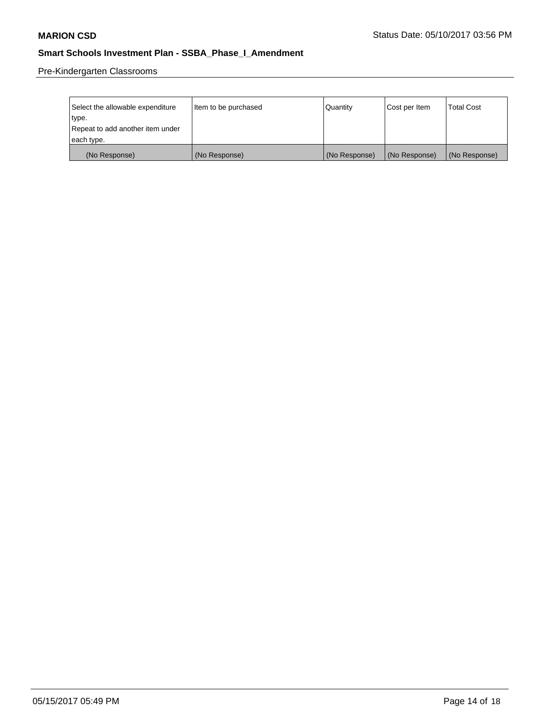Pre-Kindergarten Classrooms

| Select the allowable expenditure<br>type.      | Item to be purchased | Quantity      | Cost per Item | <b>Total Cost</b> |
|------------------------------------------------|----------------------|---------------|---------------|-------------------|
| Repeat to add another item under<br>each type. |                      |               |               |                   |
|                                                |                      |               |               |                   |
| (No Response)                                  | (No Response)        | (No Response) | (No Response) | (No Response)     |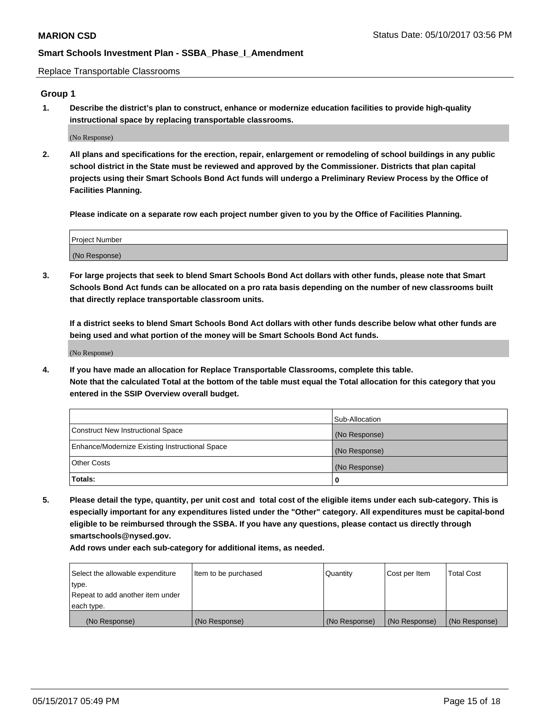Replace Transportable Classrooms

### **Group 1**

**1. Describe the district's plan to construct, enhance or modernize education facilities to provide high-quality instructional space by replacing transportable classrooms.**

(No Response)

**2. All plans and specifications for the erection, repair, enlargement or remodeling of school buildings in any public school district in the State must be reviewed and approved by the Commissioner. Districts that plan capital projects using their Smart Schools Bond Act funds will undergo a Preliminary Review Process by the Office of Facilities Planning.**

**Please indicate on a separate row each project number given to you by the Office of Facilities Planning.**

| Project Number |  |
|----------------|--|
| (No Response)  |  |

**3. For large projects that seek to blend Smart Schools Bond Act dollars with other funds, please note that Smart Schools Bond Act funds can be allocated on a pro rata basis depending on the number of new classrooms built that directly replace transportable classroom units.**

**If a district seeks to blend Smart Schools Bond Act dollars with other funds describe below what other funds are being used and what portion of the money will be Smart Schools Bond Act funds.**

(No Response)

**4. If you have made an allocation for Replace Transportable Classrooms, complete this table. Note that the calculated Total at the bottom of the table must equal the Total allocation for this category that you entered in the SSIP Overview overall budget.**

|                                                | Sub-Allocation |
|------------------------------------------------|----------------|
| Construct New Instructional Space              | (No Response)  |
| Enhance/Modernize Existing Instructional Space | (No Response)  |
| Other Costs                                    | (No Response)  |
| Totals:                                        | 0              |

**5. Please detail the type, quantity, per unit cost and total cost of the eligible items under each sub-category. This is especially important for any expenditures listed under the "Other" category. All expenditures must be capital-bond eligible to be reimbursed through the SSBA. If you have any questions, please contact us directly through smartschools@nysed.gov.**

| Select the allowable expenditure | Item to be purchased | Quantity      | Cost per Item | <b>Total Cost</b> |
|----------------------------------|----------------------|---------------|---------------|-------------------|
| type.                            |                      |               |               |                   |
| Repeat to add another item under |                      |               |               |                   |
| each type.                       |                      |               |               |                   |
| (No Response)                    | (No Response)        | (No Response) | (No Response) | (No Response)     |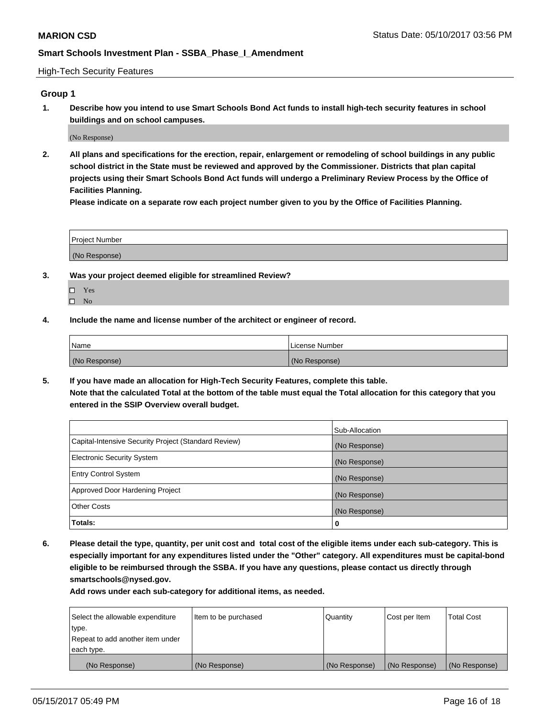High-Tech Security Features

#### **Group 1**

**1. Describe how you intend to use Smart Schools Bond Act funds to install high-tech security features in school buildings and on school campuses.**

(No Response)

**2. All plans and specifications for the erection, repair, enlargement or remodeling of school buildings in any public school district in the State must be reviewed and approved by the Commissioner. Districts that plan capital projects using their Smart Schools Bond Act funds will undergo a Preliminary Review Process by the Office of Facilities Planning.** 

**Please indicate on a separate row each project number given to you by the Office of Facilities Planning.**

| <b>Project Number</b>           |  |
|---------------------------------|--|
| (No Response<br>∣ (No Response) |  |

- **3. Was your project deemed eligible for streamlined Review?**
	- Yes  $\square$  No
- **4. Include the name and license number of the architect or engineer of record.**

| <b>Name</b>   | License Number |
|---------------|----------------|
| (No Response) | (No Response)  |

**5. If you have made an allocation for High-Tech Security Features, complete this table. Note that the calculated Total at the bottom of the table must equal the Total allocation for this category that you entered in the SSIP Overview overall budget.**

|                                                      | Sub-Allocation |
|------------------------------------------------------|----------------|
| Capital-Intensive Security Project (Standard Review) | (No Response)  |
| <b>Electronic Security System</b>                    | (No Response)  |
| <b>Entry Control System</b>                          | (No Response)  |
| Approved Door Hardening Project                      | (No Response)  |
| <b>Other Costs</b>                                   | (No Response)  |
| Totals:                                              | 0              |

**6. Please detail the type, quantity, per unit cost and total cost of the eligible items under each sub-category. This is especially important for any expenditures listed under the "Other" category. All expenditures must be capital-bond eligible to be reimbursed through the SSBA. If you have any questions, please contact us directly through smartschools@nysed.gov.**

| Select the allowable expenditure | Item to be purchased | Quantity      | Cost per Item | <b>Total Cost</b> |
|----------------------------------|----------------------|---------------|---------------|-------------------|
| type.                            |                      |               |               |                   |
| Repeat to add another item under |                      |               |               |                   |
| each type.                       |                      |               |               |                   |
| (No Response)                    | (No Response)        | (No Response) | (No Response) | (No Response)     |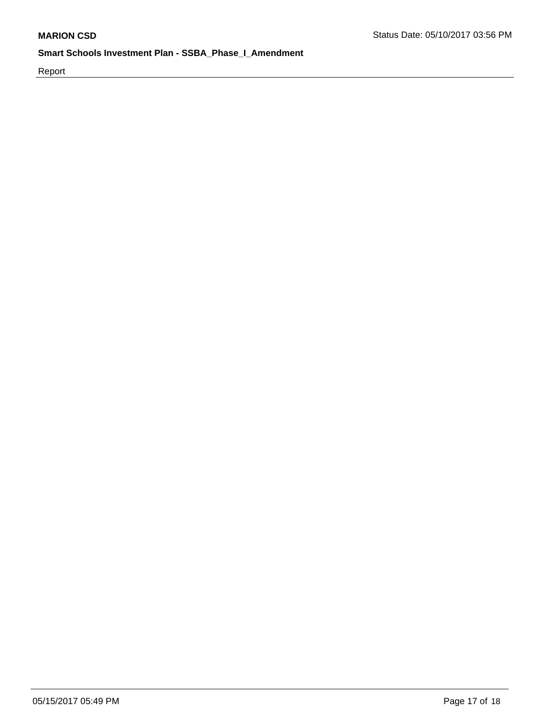Report